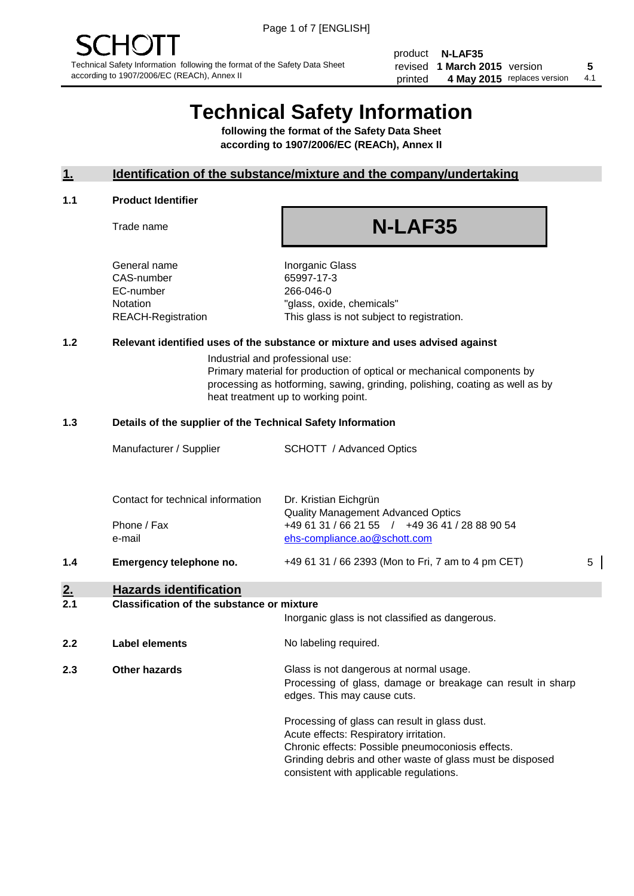product **N-LAF35** revised **5 1 March 2015** version printed 4 May 2015 replaces version 4.1

## **Technical Safety Information**

**following the format of the Safety Data Sheet according to 1907/2006/EC (REACh), Annex II**

#### **1. Identification of the substance/mixture and the company/undertaking**

#### **1.1 Product Identifier**

Trade name

# **N-LAF35**

General name **Inorganic Glass** CAS-number 65997-17-3 EC-number 266-046-0

Notation "glass, oxide, chemicals" REACH-Registration This glass is not subject to registration.

#### **1.2 Relevant identified uses of the substance or mixture and uses advised against**

Industrial and professional use: Primary material for production of optical or mechanical components by processing as hotforming, sawing, grinding, polishing, coating as well as by heat treatment up to working point.

#### **1.3 Details of the supplier of the Technical Safety Information**

|     | Manufacturer / Supplier           | <b>SCHOTT</b> / Advanced Optics                                                |   |
|-----|-----------------------------------|--------------------------------------------------------------------------------|---|
|     | Contact for technical information | Dr. Kristian Eichgrün<br><b>Quality Management Advanced Optics</b>             |   |
|     | Phone / Fax<br>e-mail             | +49 61 31 / 66 21 55 / +49 36 41 / 28 88 90 54<br>ehs-compliance.ao@schott.com |   |
| 1.4 | Emergency telephone no.           | +49 61 31 / 66 2393 (Mon to Fri, 7 am to 4 pm CET)                             | 5 |

## **2. Hazards identification**

#### **2.1 Classification of the substance or mixture**

|     |                       | Inorganic glass is not classified as dangerous.                                                                                                                                                           |
|-----|-----------------------|-----------------------------------------------------------------------------------------------------------------------------------------------------------------------------------------------------------|
| 2.2 | <b>Label elements</b> | No labeling required.                                                                                                                                                                                     |
| 2.3 | Other hazards         | Glass is not dangerous at normal usage.<br>Processing of glass, damage or breakage can result in sharp<br>edges. This may cause cuts.                                                                     |
|     |                       | Processing of glass can result in glass dust.<br>Acute effects: Respiratory irritation.<br>Chronic effects: Possible pneumoconiosis effects.<br>Grinding debris and other waste of glass must be disposed |

consistent with applicable regulations.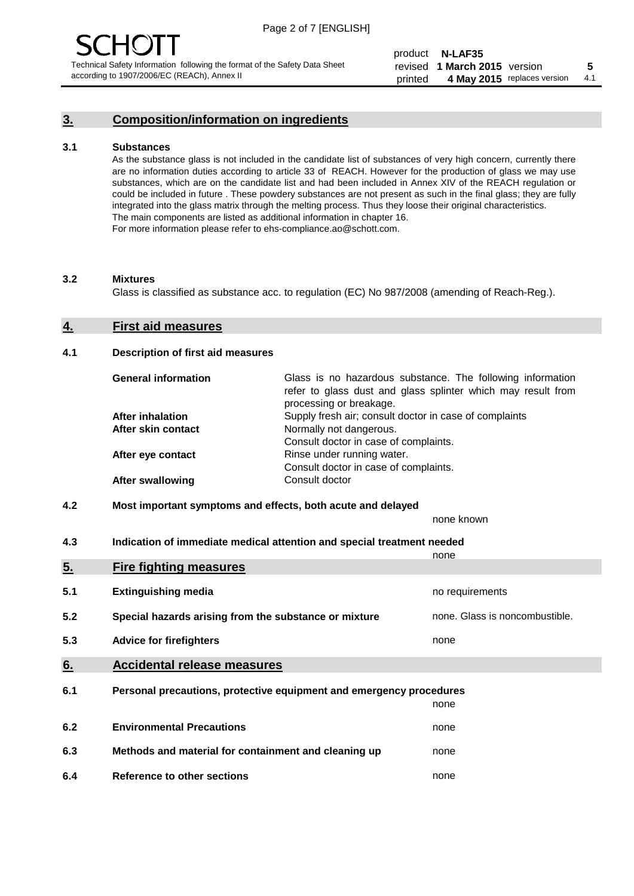#### **3. Composition/information on ingredients**

#### **3.1 Substances**

As the substance glass is not included in the candidate list of substances of very high concern, currently there are no information duties according to article 33 of REACH. However for the production of glass we may use substances, which are on the candidate list and had been included in Annex XIV of the REACH regulation or could be included in future . These powdery substances are not present as such in the final glass; they are fully integrated into the glass matrix through the melting process. Thus they loose their original characteristics. The main components are listed as additional information in chapter 16. For more information please refer to ehs-compliance.ao@schott.com.

#### **3.2 Mixtures**

Glass is classified as substance acc. to regulation (EC) No 987/2008 (amending of Reach-Reg.).

#### **4. First aid measures**

#### **4.1 Description of first aid measures**

| <b>General information</b> | Glass is no hazardous substance. The following information<br>refer to glass dust and glass splinter which may result from<br>processing or breakage. |  |
|----------------------------|-------------------------------------------------------------------------------------------------------------------------------------------------------|--|
| <b>After inhalation</b>    | Supply fresh air; consult doctor in case of complaints                                                                                                |  |
| After skin contact         | Normally not dangerous.                                                                                                                               |  |
|                            | Consult doctor in case of complaints.                                                                                                                 |  |
| After eye contact          | Rinse under running water.                                                                                                                            |  |
|                            | Consult doctor in case of complaints.                                                                                                                 |  |
| <b>After swallowing</b>    | Consult doctor                                                                                                                                        |  |

#### **4.2 Most important symptoms and effects, both acute and delayed**

none known

**4.3 Indication of immediate medical attention and special treatment needed** 

|     |                                                                     | none                           |
|-----|---------------------------------------------------------------------|--------------------------------|
| 5.  | <b>Fire fighting measures</b>                                       |                                |
| 5.1 | <b>Extinguishing media</b>                                          | no requirements                |
| 5.2 | Special hazards arising from the substance or mixture               | none. Glass is noncombustible. |
| 5.3 | <b>Advice for firefighters</b>                                      | none                           |
| 6.  | <b>Accidental release measures</b>                                  |                                |
| 6.1 | Personal precautions, protective equipment and emergency procedures |                                |
|     |                                                                     | none                           |
| 6.2 | <b>Environmental Precautions</b>                                    | none                           |
| 6.3 | Methods and material for containment and cleaning up                | none                           |
| 6.4 | Reference to other sections                                         | none                           |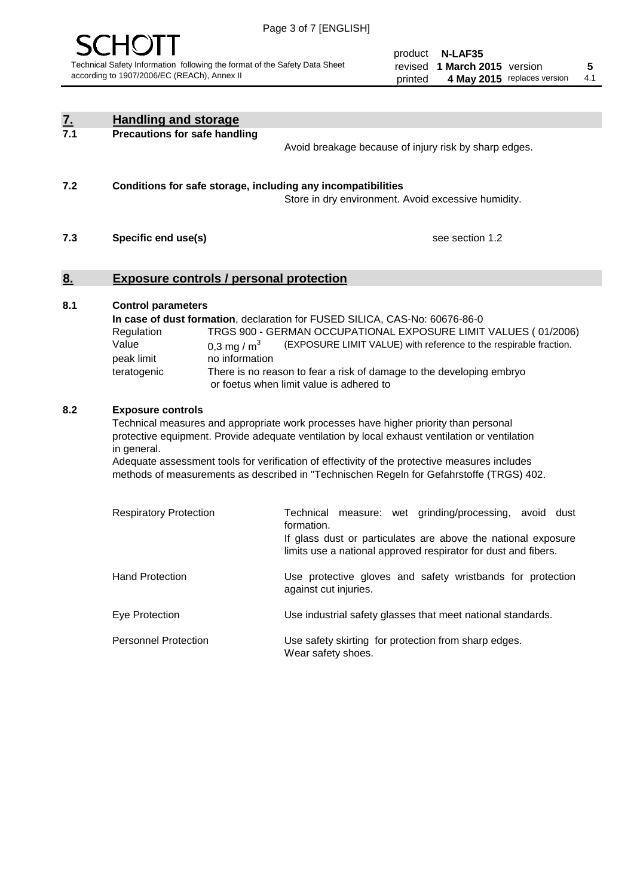

product **N-LAF35** revised **5 1 March 2015** version printed 4 May 2015 replaces version 4.1

| $\underline{\mathbf{7}}$ . | <b>Handling and storage</b>                                                                                      |                                                                                                                                                                                                                                                                                                                                                                                                                                                                                                                                                                                                |
|----------------------------|------------------------------------------------------------------------------------------------------------------|------------------------------------------------------------------------------------------------------------------------------------------------------------------------------------------------------------------------------------------------------------------------------------------------------------------------------------------------------------------------------------------------------------------------------------------------------------------------------------------------------------------------------------------------------------------------------------------------|
| 7.1                        | <b>Precautions for safe handling</b>                                                                             | Avoid breakage because of injury risk by sharp edges.                                                                                                                                                                                                                                                                                                                                                                                                                                                                                                                                          |
| 7.2                        | Conditions for safe storage, including any incompatibilities                                                     | Store in dry environment. Avoid excessive humidity.                                                                                                                                                                                                                                                                                                                                                                                                                                                                                                                                            |
| 7.3                        | Specific end use(s)                                                                                              | see section 1.2                                                                                                                                                                                                                                                                                                                                                                                                                                                                                                                                                                                |
| <u>8.</u>                  | <b>Exposure controls / personal protection</b>                                                                   |                                                                                                                                                                                                                                                                                                                                                                                                                                                                                                                                                                                                |
| 8.1                        | <b>Control parameters</b><br>Regulation<br>Value<br>0,3 mg / $m3$<br>peak limit<br>no information<br>teratogenic | In case of dust formation, declaration for FUSED SILICA, CAS-No: 60676-86-0<br>TRGS 900 - GERMAN OCCUPATIONAL EXPOSURE LIMIT VALUES (01/2006)<br>(EXPOSURE LIMIT VALUE) with reference to the respirable fraction.<br>There is no reason to fear a risk of damage to the developing embryo<br>or foetus when limit value is adhered to                                                                                                                                                                                                                                                         |
| 8.2                        | <b>Exposure controls</b><br>in general.<br><b>Respiratory Protection</b>                                         | Technical measures and appropriate work processes have higher priority than personal<br>protective equipment. Provide adequate ventilation by local exhaust ventilation or ventilation<br>Adequate assessment tools for verification of effectivity of the protective measures includes<br>methods of measurements as described in "Technischen Regeln for Gefahrstoffe (TRGS) 402.<br>Technical measure: wet grinding/processing, avoid dust<br>formation.<br>If glass dust or particulates are above the national exposure<br>limits use a national approved respirator for dust and fibers. |
|                            | <b>Hand Protection</b>                                                                                           | Use protective gloves and safety wristbands for protection<br>against cut injuries.                                                                                                                                                                                                                                                                                                                                                                                                                                                                                                            |
|                            | Eye Protection                                                                                                   | Use industrial safety glasses that meet national standards.                                                                                                                                                                                                                                                                                                                                                                                                                                                                                                                                    |
|                            | <b>Personnel Protection</b>                                                                                      | Use safety skirting for protection from sharp edges.<br>Wear safety shoes.                                                                                                                                                                                                                                                                                                                                                                                                                                                                                                                     |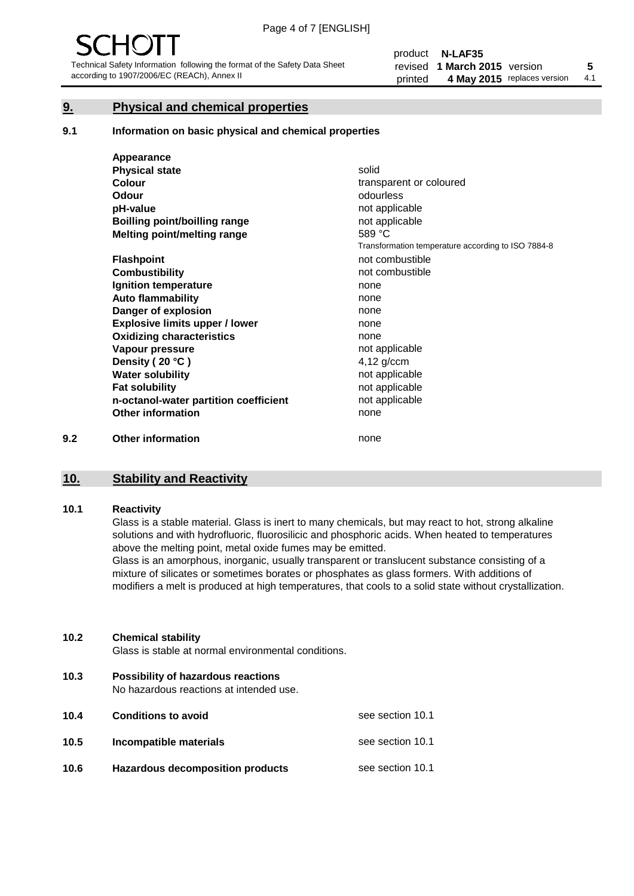#### **9. Physical and chemical properties**

#### **9.1 Information on basic physical and chemical properties**

|     | Appearance                            |                                                    |
|-----|---------------------------------------|----------------------------------------------------|
|     | <b>Physical state</b>                 | solid                                              |
|     | <b>Colour</b>                         | transparent or coloured                            |
|     | <b>Odour</b>                          | odourless                                          |
|     | pH-value                              | not applicable                                     |
|     | <b>Boilling point/boilling range</b>  | not applicable                                     |
|     | Melting point/melting range           | 589 °C                                             |
|     |                                       | Transformation temperature according to ISO 7884-8 |
|     | <b>Flashpoint</b>                     | not combustible                                    |
|     | <b>Combustibility</b>                 | not combustible                                    |
|     | Ignition temperature                  | none                                               |
|     | <b>Auto flammability</b>              | none                                               |
|     | Danger of explosion                   | none                                               |
|     | <b>Explosive limits upper / lower</b> | none                                               |
|     | <b>Oxidizing characteristics</b>      | none                                               |
|     | Vapour pressure                       | not applicable                                     |
|     | Density (20 °C)                       | $4,12$ g/ccm                                       |
|     | <b>Water solubility</b>               | not applicable                                     |
|     | <b>Fat solubility</b>                 | not applicable                                     |
|     | n-octanol-water partition coefficient | not applicable                                     |
|     | <b>Other information</b>              | none                                               |
| 9.2 | <b>Other information</b>              | none                                               |

#### **10. Stability and Reactivity**

#### **10.1 Reactivity**

Glass is a stable material. Glass is inert to many chemicals, but may react to hot, strong alkaline solutions and with hydrofluoric, fluorosilicic and phosphoric acids. When heated to temperatures above the melting point, metal oxide fumes may be emitted.

Glass is an amorphous, inorganic, usually transparent or translucent substance consisting of a mixture of silicates or sometimes borates or phosphates as glass formers. With additions of modifiers a melt is produced at high temperatures, that cools to a solid state without crystallization.

#### **10.2 Chemical stability**

Glass is stable at normal environmental conditions.

**10.3 Possibility of hazardous reactions** 

No hazardous reactions at intended use.

| 10.4 | <b>Conditions to avoid</b>       | see section 10.1 |
|------|----------------------------------|------------------|
| 10.5 | Incompatible materials           | see section 10.1 |
| 10.6 | Hazardous decomposition products | see section 10.1 |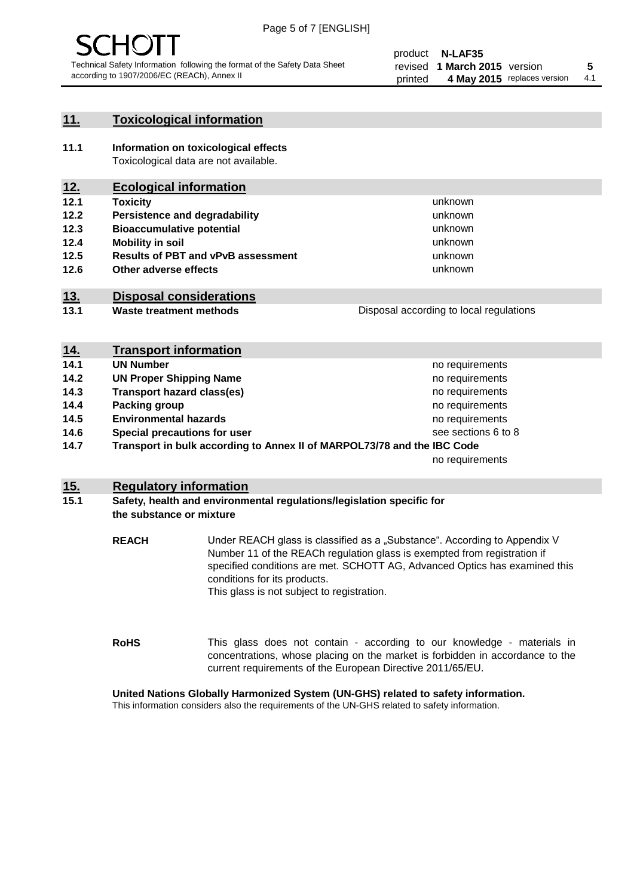

#### **11. Toxicological information**

**11.1 Information on toxicological effects** Toxicological data are not available.

## **12. Ecological information**

- **12.1 Toxicity**
- **12.2 Persistence and degradability**
- **12.3 Bioaccumulative potential**
- **12.4 Mobility in soil**
- **12.5 Results of PBT and vPvB assessment**
- **12.6 Other adverse effects**

#### **13. Disposal considerations**

**13.1 Waste treatment methods**

Disposal according to local regulations

unknown unknown unknown unknown

unknown unknown

| <u>14.</u> | <b>Transport information</b>                                            |                     |
|------------|-------------------------------------------------------------------------|---------------------|
| 14.1       | <b>UN Number</b>                                                        | no requirements     |
| 14.2       | <b>UN Proper Shipping Name</b>                                          | no requirements     |
| 14.3       | <b>Transport hazard class(es)</b>                                       | no requirements     |
| 14.4       | Packing group                                                           | no requirements     |
| 14.5       | <b>Environmental hazards</b>                                            | no requirements     |
| 14.6       | Special precautions for user                                            | see sections 6 to 8 |
| 14.7       | Transport in bulk according to Annex II of MARPOL73/78 and the IBC Code |                     |
|            |                                                                         | no requirements     |

#### **15. Regulatory information**

#### **15.1 Safety, health and environmental regulations/legislation specific for the substance or mixture**

**REACH** Under REACH glass is classified as a "Substance". According to Appendix V Number 11 of the REACh regulation glass is exempted from registration if specified conditions are met. SCHOTT AG, Advanced Optics has examined this conditions for its products. This glass is not subject to registration.

**RoHS** This glass does not contain - according to our knowledge - materials in concentrations, whose placing on the market is forbidden in accordance to the current requirements of the European Directive 2011/65/EU.

#### **United Nations Globally Harmonized System (UN-GHS) related to safety information.**

This information considers also the requirements of the UN-GHS related to safety information.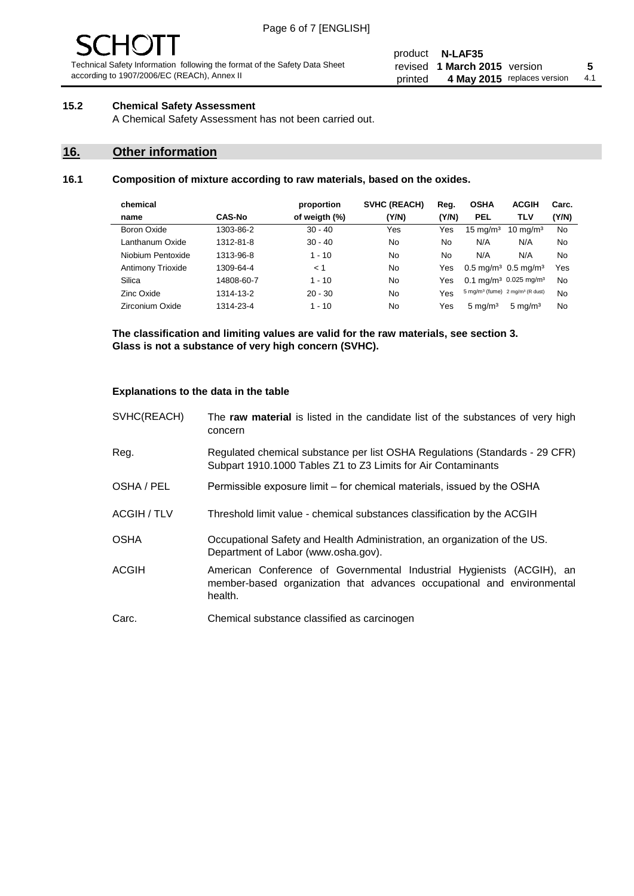# - JF

Technical Safety Information following the format of the Safety Data Sheet according to 1907/2006/EC (REACh), Annex II

#### product **N-LAF35** revised **5 1 March 2015** version printed 4 May 2015 replaces version 4.1

#### **15.2 Chemical Safety Assessment**

A Chemical Safety Assessment has not been carried out.

#### **16. Other information**

#### **16.1 Composition of mixture according to raw materials, based on the oxides.**

| chemical          |               | proportion    | <b>SVHC (REACH)</b> | Reg.  | <b>OSHA</b>                                             | <b>ACGIH</b>        | Carc. |
|-------------------|---------------|---------------|---------------------|-------|---------------------------------------------------------|---------------------|-------|
| name              | <b>CAS-No</b> | of weigth (%) | (Y/N)               | (Y/N) | PEL                                                     | <b>TLV</b>          | (Y/N) |
| Boron Oxide       | 1303-86-2     | $30 - 40$     | Yes                 | Yes   | $15 \text{ mg/m}^3$                                     | $10 \text{ mg/m}^3$ | No    |
| Lanthanum Oxide   | 1312-81-8     | $30 - 40$     | No                  | No    | N/A                                                     | N/A                 | No    |
| Niobium Pentoxide | 1313-96-8     | $1 - 10$      | No                  | No    | N/A                                                     | N/A                 | No    |
| Antimony Trioxide | 1309-64-4     | < 1           | No                  | Yes   | $0.5 \,\mathrm{mq/m^3}$ 0.5 mg/m <sup>3</sup>           |                     | Yes   |
| Silica            | 14808-60-7    | $1 - 10$      | No                  | Yes   | 0.1 mg/m <sup>3</sup> 0.025 mg/m <sup>3</sup>           |                     | No    |
| Zinc Oxide        | 1314-13-2     | $20 - 30$     | No                  | Yes   | 5 mg/m <sup>3</sup> (fume) 2 mg/m <sup>3</sup> (R dust) |                     | No    |
| Zirconium Oxide   | 1314-23-4     | $1 - 10$      | No                  | Yes   | $5 \text{ mg/m}^3$                                      | $5 \text{ mg/m}^3$  | No    |

**The classification and limiting values are valid for the raw materials, see section 3. Glass is not a substance of very high concern (SVHC).**

#### **Explanations to the data in the table**

| SVHC(REACH)        | The raw material is listed in the candidate list of the substances of very high<br>concern                                                                 |
|--------------------|------------------------------------------------------------------------------------------------------------------------------------------------------------|
| Reg.               | Regulated chemical substance per list OSHA Regulations (Standards - 29 CFR)<br>Subpart 1910.1000 Tables Z1 to Z3 Limits for Air Contaminants               |
| OSHA / PEL         | Permissible exposure limit – for chemical materials, issued by the OSHA                                                                                    |
| <b>ACGIH / TLV</b> | Threshold limit value - chemical substances classification by the ACGIH                                                                                    |
| <b>OSHA</b>        | Occupational Safety and Health Administration, an organization of the US.<br>Department of Labor (www.osha.gov).                                           |
| ACGIH              | American Conference of Governmental Industrial Hygienists (ACGIH), an<br>member-based organization that advances occupational and environmental<br>health. |
| Carc.              | Chemical substance classified as carcinogen                                                                                                                |